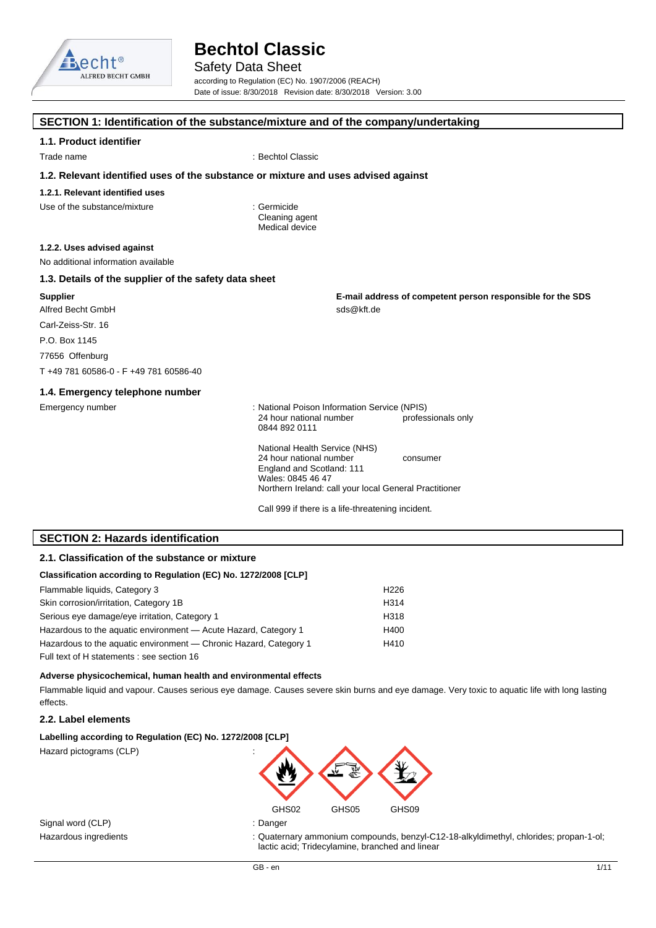

Safety Data Sheet

according to Regulation (EC) No. 1907/2006 (REACH) Date of issue: 8/30/2018 Revision date: 8/30/2018 Version: 3.00

# **SECTION 1: Identification of the substance/mixture and of the company/undertaking 1.1. Product identifier** Trade name : Bechtol Classic **1.2. Relevant identified uses of the substance or mixture and uses advised against 1.2.1. Relevant identified uses** Use of the substance/mixture in the substance of the substance of the substance of the substance of the substance of the substance of the substance of the substance of the substance of the substance of the substance of the Cleaning agent Medical device **1.2.2. Uses advised against** No additional information available **1.3. Details of the supplier of the safety data sheet Supplier** Alfred Becht GmbH Carl-Zeiss-Str. 16 P.O. Box 1145 77656 Offenburg T +49 781 60586-0 - F +49 781 60586-40 **E-mail address of competent person responsible for the SDS**  sds@kft.de

#### **1.4. Emergency telephone number**

Emergency number : National Poison Information Service (NPIS)<br>24 hour national number professionals only 24 hour national number 0844 892 0111

> National Health Service (NHS) 24 hour national number consumer England and Scotland: 111 Wales: 0845 46 47 Northern Ireland: call your local General Practitioner

Call 999 if there is a life-threatening incident.

# **SECTION 2: Hazards identification**

#### **2.1. Classification of the substance or mixture**

| Classification according to Regulation (EC) No. 1272/2008 [CLP]   |                  |
|-------------------------------------------------------------------|------------------|
| Flammable liquids, Category 3                                     | H <sub>226</sub> |
| Skin corrosion/irritation, Category 1B                            | H314             |
| Serious eye damage/eye irritation, Category 1                     | H318             |
| Hazardous to the aquatic environment - Acute Hazard, Category 1   | H400             |
| Hazardous to the aquatic environment — Chronic Hazard, Category 1 | H410             |
| Full text of H statements : see section 16                        |                  |

#### **Adverse physicochemical, human health and environmental effects**

Flammable liquid and vapour. Causes serious eye damage. Causes severe skin burns and eye damage. Very toxic to aquatic life with long lasting effects.

GHS02 GHS05 GHS09

#### **2.2. Label elements**

**Labelling according to Regulation (EC) No. 1272/2008 [CLP]** 

Hazard pictograms (CLP) :

Signal word (CLP) : Danger

Hazardous ingredients : Quaternary ammonium compounds, benzyl-C12-18-alkyldimethyl, chlorides; propan-1-ol; lactic acid; Tridecylamine, branched and linear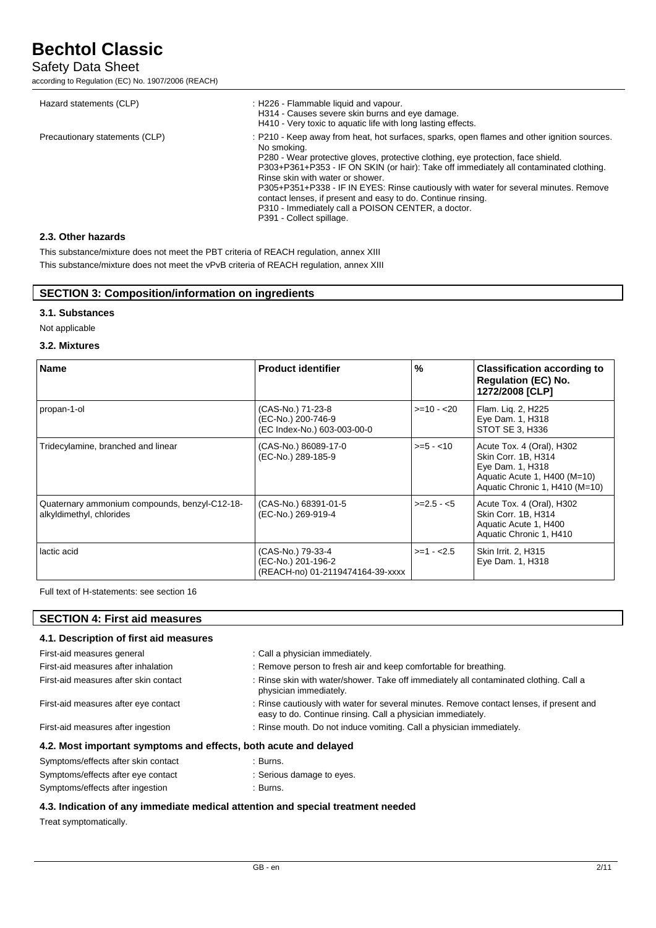# Safety Data Sheet

according to Regulation (EC) No. 1907/2006 (REACH)

| Hazard statements (CLP)                    | : H226 - Flammable liquid and vapour.<br>H314 - Causes severe skin burns and eye damage.<br>H410 - Very toxic to aquatic life with long lasting effects.                                                                                                                                                                                                                                                                                                                                                                                                               |
|--------------------------------------------|------------------------------------------------------------------------------------------------------------------------------------------------------------------------------------------------------------------------------------------------------------------------------------------------------------------------------------------------------------------------------------------------------------------------------------------------------------------------------------------------------------------------------------------------------------------------|
| Precautionary statements (CLP)             | : P210 - Keep away from heat, hot surfaces, sparks, open flames and other ignition sources.<br>No smoking.<br>P280 - Wear protective gloves, protective clothing, eye protection, face shield.<br>P303+P361+P353 - IF ON SKIN (or hair): Take off immediately all contaminated clothing.<br>Rinse skin with water or shower.<br>P305+P351+P338 - IF IN EYES: Rinse cautiously with water for several minutes. Remove<br>contact lenses, if present and easy to do. Continue rinsing.<br>P310 - Immediately call a POISON CENTER, a doctor.<br>P391 - Collect spillage. |
| $\bigcap \bigcap \bigcap \{1, \ldots, n\}$ |                                                                                                                                                                                                                                                                                                                                                                                                                                                                                                                                                                        |

#### **2.3. Other hazards**

This substance/mixture does not meet the PBT criteria of REACH regulation, annex XIII This substance/mixture does not meet the vPvB criteria of REACH regulation, annex XIII

# **SECTION 3: Composition/information on ingredients**

### **3.1. Substances**

#### Not applicable

#### **3.2. Mixtures**

| Name                                                                      | <b>Product identifier</b>                                                   | %           | <b>Classification according to</b><br><b>Regulation (EC) No.</b><br>1272/2008 [CLP]                                                    |
|---------------------------------------------------------------------------|-----------------------------------------------------------------------------|-------------|----------------------------------------------------------------------------------------------------------------------------------------|
| propan-1-ol                                                               | (CAS-No.) 71-23-8<br>(EC-No.) 200-746-9<br>(EC Index-No.) 603-003-00-0      | $>=10 - 20$ | Flam. Lig. 2, H225<br>Eye Dam. 1, H318<br>STOT SE 3, H336                                                                              |
| Tridecylamine, branched and linear                                        | (CAS-No.) 86089-17-0<br>(EC-No.) 289-185-9                                  | $>= 5 - 10$ | Acute Tox. 4 (Oral), H302<br>Skin Corr. 1B, H314<br>Eye Dam. 1, H318<br>Aquatic Acute 1, H400 (M=10)<br>Aquatic Chronic 1, H410 (M=10) |
| Quaternary ammonium compounds, benzyl-C12-18-<br>alkyldimethyl, chlorides | (CAS-No.) 68391-01-5<br>(EC-No.) 269-919-4                                  | $>=2.5 - 5$ | Acute Tox. 4 (Oral), H302<br>Skin Corr. 1B, H314<br>Aquatic Acute 1, H400<br>Aquatic Chronic 1, H410                                   |
| lactic acid                                                               | (CAS-No.) 79-33-4<br>(EC-No.) 201-196-2<br>(REACH-no) 01-2119474164-39-xxxx | $>=1 - 2.5$ | Skin Irrit. 2, H315<br>Eye Dam. 1, H318                                                                                                |

Full text of H-statements: see section 16

| <b>SECTION 4: First aid measures</b>   |                                 |
|----------------------------------------|---------------------------------|
| 4.1. Description of first aid measures |                                 |
| First-aid measures general             | : Call a physician immediately. |

| 4.2. Most important symptoms and effects, both acute and delayed |                                                                                                                                                         |  |
|------------------------------------------------------------------|---------------------------------------------------------------------------------------------------------------------------------------------------------|--|
| First-aid measures after ingestion                               | : Rinse mouth. Do not induce vomiting. Call a physician immediately.                                                                                    |  |
| First-aid measures after eye contact                             | : Rinse cautiously with water for several minutes. Remove contact lenses, if present and<br>easy to do. Continue rinsing. Call a physician immediately. |  |
| First-aid measures after skin contact                            | : Rinse skin with water/shower. Take off immediately all contaminated clothing. Call a<br>physician immediately.                                        |  |
| First-aid measures after inhalation                              | : Remove person to fresh air and keep comfortable for breathing.                                                                                        |  |
|                                                                  |                                                                                                                                                         |  |

| Symptoms/effects after skin contact | :Burns.                   |
|-------------------------------------|---------------------------|
| Symptoms/effects after eye contact  | : Serious damage to eyes. |

# Symptoms/effects after ingestion : Burns.

# **4.3. Indication of any immediate medical attention and special treatment needed**

Treat symptomatically.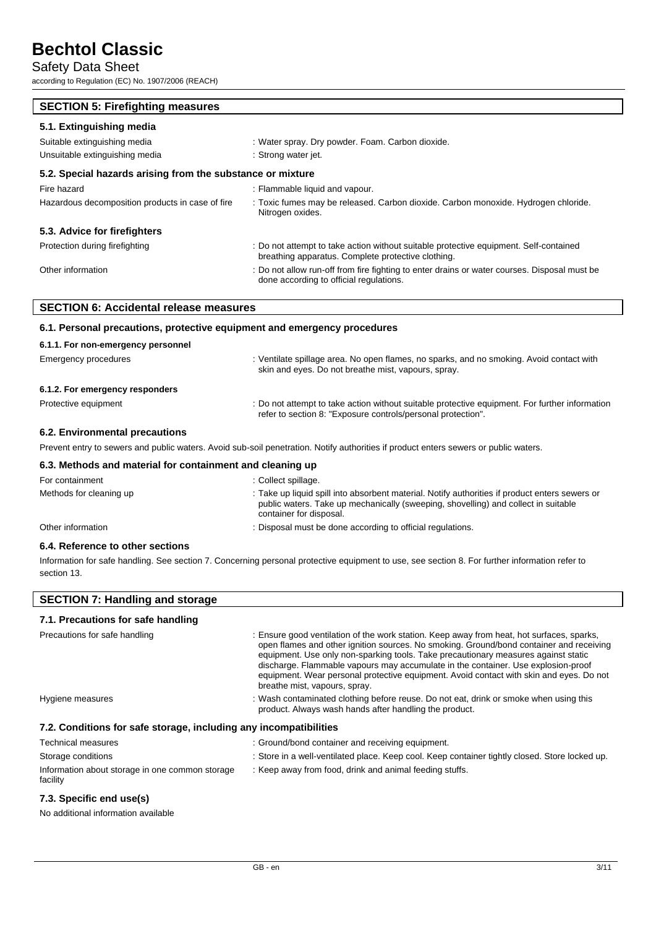# Safety Data Sheet

according to Regulation (EC) No. 1907/2006 (REACH)

| <b>SECTION 5: Firefighting measures</b>                    |                                                                                                                                             |  |  |
|------------------------------------------------------------|---------------------------------------------------------------------------------------------------------------------------------------------|--|--|
| 5.1. Extinguishing media                                   |                                                                                                                                             |  |  |
| Suitable extinguishing media                               | : Water spray. Dry powder. Foam. Carbon dioxide.                                                                                            |  |  |
| Unsuitable extinguishing media                             | : Strong water jet.                                                                                                                         |  |  |
| 5.2. Special hazards arising from the substance or mixture |                                                                                                                                             |  |  |
| Fire hazard                                                | : Flammable liquid and vapour.                                                                                                              |  |  |
| Hazardous decomposition products in case of fire           | : Toxic fumes may be released. Carbon dioxide. Carbon monoxide. Hydrogen chloride.<br>Nitrogen oxides.                                      |  |  |
| 5.3. Advice for firefighters                               |                                                                                                                                             |  |  |
| Protection during firefighting                             | : Do not attempt to take action without suitable protective equipment. Self-contained<br>breathing apparatus. Complete protective clothing. |  |  |
| Other information                                          | : Do not allow run-off from fire fighting to enter drains or water courses. Disposal must be<br>done according to official regulations.     |  |  |

| <b>SECTION 6: Accidental release measures</b> |  |  |
|-----------------------------------------------|--|--|
|                                               |  |  |

# **6.1. Personal precautions, protective equipment and emergency procedures**

| 6.1.1. For non-emergency personnel |                                                                                                                                                                |
|------------------------------------|----------------------------------------------------------------------------------------------------------------------------------------------------------------|
| Emergency procedures               | : Ventilate spillage area. No open flames, no sparks, and no smoking. Avoid contact with<br>skin and eyes. Do not breathe mist, vapours, spray.                |
| 6.1.2. For emergency responders    |                                                                                                                                                                |
| Protective equipment               | : Do not attempt to take action without suitable protective equipment. For further information<br>refer to section 8: "Exposure controls/personal protection". |
| 6.2. Environmental precautions     |                                                                                                                                                                |

Prevent entry to sewers and public waters. Avoid sub-soil penetration. Notify authorities if product enters sewers or public waters.

# **6.3. Methods and material for containment and cleaning up**

| For containment         | : Collect spillage.                                                                                                                                                                                             |
|-------------------------|-----------------------------------------------------------------------------------------------------------------------------------------------------------------------------------------------------------------|
| Methods for cleaning up | : Take up liquid spill into absorbent material. Notify authorities if product enters sewers or<br>public waters. Take up mechanically (sweeping, shovelling) and collect in suitable<br>container for disposal. |
| Other information       | : Disposal must be done according to official regulations.                                                                                                                                                      |

# **6.4. Reference to other sections**

Information for safe handling. See section 7. Concerning personal protective equipment to use, see section 8. For further information refer to section 13.

| <b>SECTION 7: Handling and storage</b>                            |                                                                                                                                                                                                                                                                                                                                                                                                                                                                                             |  |  |
|-------------------------------------------------------------------|---------------------------------------------------------------------------------------------------------------------------------------------------------------------------------------------------------------------------------------------------------------------------------------------------------------------------------------------------------------------------------------------------------------------------------------------------------------------------------------------|--|--|
| 7.1. Precautions for safe handling                                |                                                                                                                                                                                                                                                                                                                                                                                                                                                                                             |  |  |
| Precautions for safe handling                                     | : Ensure good ventilation of the work station. Keep away from heat, hot surfaces, sparks,<br>open flames and other ignition sources. No smoking. Ground/bond container and receiving<br>equipment. Use only non-sparking tools. Take precautionary measures against static<br>discharge. Flammable vapours may accumulate in the container. Use explosion-proof<br>equipment. Wear personal protective equipment. Avoid contact with skin and eyes. Do not<br>breathe mist, vapours, spray. |  |  |
| Hygiene measures                                                  | : Wash contaminated clothing before reuse. Do not eat, drink or smoke when using this<br>product. Always wash hands after handling the product.                                                                                                                                                                                                                                                                                                                                             |  |  |
| 7.2. Conditions for safe storage, including any incompatibilities |                                                                                                                                                                                                                                                                                                                                                                                                                                                                                             |  |  |
| Technical measures                                                | : Ground/bond container and receiving equipment.                                                                                                                                                                                                                                                                                                                                                                                                                                            |  |  |
| Storage conditions                                                | : Store in a well-ventilated place. Keep cool. Keep container tightly closed. Store locked up.                                                                                                                                                                                                                                                                                                                                                                                              |  |  |
| Information about storage in one common storage<br>facility       | : Keep away from food, drink and animal feeding stuffs.                                                                                                                                                                                                                                                                                                                                                                                                                                     |  |  |

## **7.3. Specific end use(s)**

No additional information available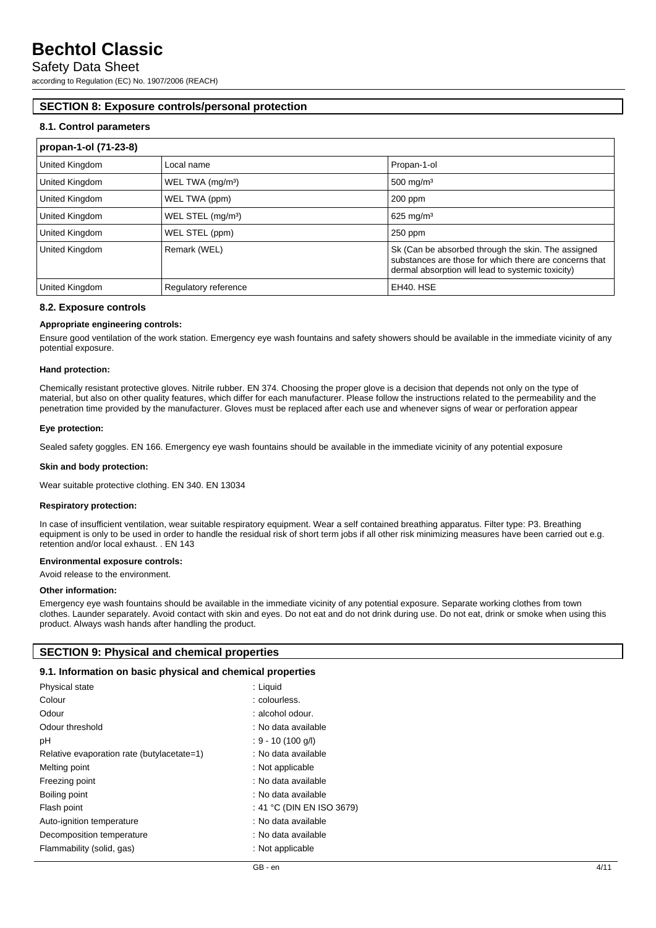# Safety Data Sheet

according to Regulation (EC) No. 1907/2006 (REACH)

## **SECTION 8: Exposure controls/personal protection**

#### **8.1. Control parameters**

| propan-1-ol (71-23-8) |                               |                                                                                                                                                                   |  |
|-----------------------|-------------------------------|-------------------------------------------------------------------------------------------------------------------------------------------------------------------|--|
| United Kingdom        | Local name                    | Propan-1-ol                                                                                                                                                       |  |
| <b>United Kingdom</b> | WEL TWA (mg/m <sup>3</sup> )  | $500$ mg/m <sup>3</sup>                                                                                                                                           |  |
| <b>United Kingdom</b> | WEL TWA (ppm)                 | $200$ ppm                                                                                                                                                         |  |
| United Kingdom        | WEL STEL (mg/m <sup>3</sup> ) | $625$ mg/m <sup>3</sup>                                                                                                                                           |  |
| <b>United Kingdom</b> | WEL STEL (ppm)                | $250$ ppm                                                                                                                                                         |  |
| <b>United Kingdom</b> | Remark (WEL)                  | Sk (Can be absorbed through the skin. The assigned<br>substances are those for which there are concerns that<br>dermal absorption will lead to systemic toxicity) |  |
| <b>United Kingdom</b> | Regulatory reference          | EH40. HSE                                                                                                                                                         |  |

#### **8.2. Exposure controls**

#### **Appropriate engineering controls:**

Ensure good ventilation of the work station. Emergency eye wash fountains and safety showers should be available in the immediate vicinity of any potential exposure.

#### **Hand protection:**

Chemically resistant protective gloves. Nitrile rubber. EN 374. Choosing the proper glove is a decision that depends not only on the type of material, but also on other quality features, which differ for each manufacturer. Please follow the instructions related to the permeability and the penetration time provided by the manufacturer. Gloves must be replaced after each use and whenever signs of wear or perforation appear

#### **Eye protection:**

Sealed safety goggles. EN 166. Emergency eye wash fountains should be available in the immediate vicinity of any potential exposure

#### **Skin and body protection:**

Wear suitable protective clothing. EN 340. EN 13034

#### **Respiratory protection:**

In case of insufficient ventilation, wear suitable respiratory equipment. Wear a self contained breathing apparatus. Filter type: P3. Breathing equipment is only to be used in order to handle the residual risk of short term jobs if all other risk minimizing measures have been carried out e.g. retention and/or local exhaust. . EN 143

### **Environmental exposure controls:**

Avoid release to the environment.

#### **Other information:**

Emergency eye wash fountains should be available in the immediate vicinity of any potential exposure. Separate working clothes from town clothes. Launder separately. Avoid contact with skin and eyes. Do not eat and do not drink during use. Do not eat, drink or smoke when using this product. Always wash hands after handling the product.

### **SECTION 9: Physical and chemical properties**

#### **9.1. Information on basic physical and chemical properties**

| Physical state                             | : Liquid                  |
|--------------------------------------------|---------------------------|
| Colour                                     | : colourless.             |
| Odour                                      | : alcohol odour.          |
| Odour threshold                            | : No data available       |
| рH                                         | $: 9 - 10 (100 q/l)$      |
| Relative evaporation rate (butylacetate=1) | : No data available       |
| Melting point                              | : Not applicable          |
| Freezing point                             | : No data available       |
| Boiling point                              | : No data available       |
| Flash point                                | : 41 °C (DIN EN ISO 3679) |
| Auto-ignition temperature                  | : No data available       |
| Decomposition temperature                  | : No data available       |
| Flammability (solid, gas)                  | : Not applicable          |
|                                            |                           |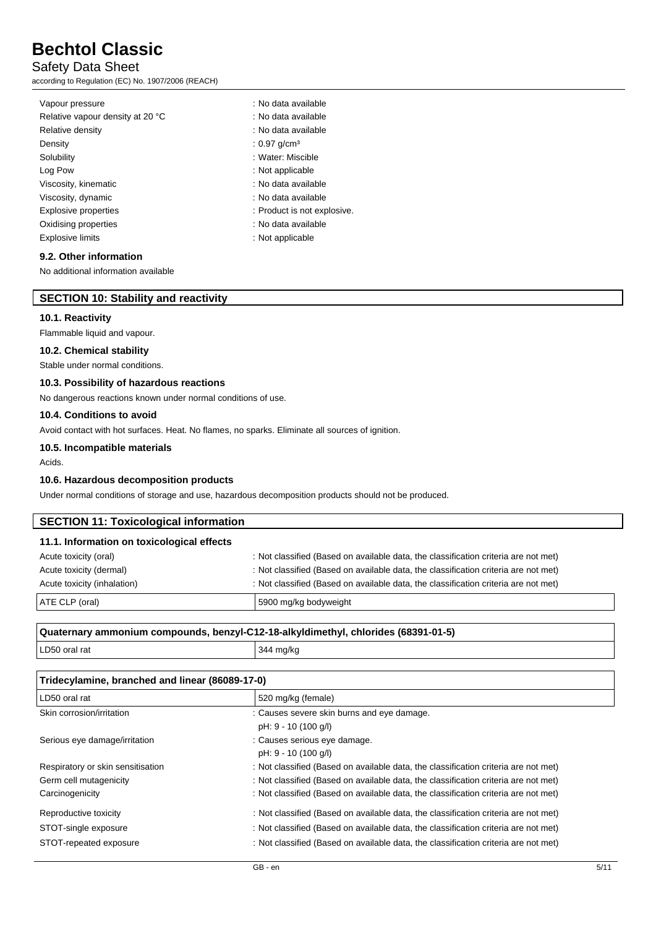# Safety Data Sheet

according to Regulation (EC) No. 1907/2006 (REACH)

| Vapour pressure                  | : No data available         |
|----------------------------------|-----------------------------|
| Relative vapour density at 20 °C | : No data available         |
| Relative density                 | : No data available         |
| Density                          | : 0.97 $q/cm^3$             |
| Solubility                       | : Water: Miscible           |
| Log Pow                          | : Not applicable            |
| Viscosity, kinematic             | : No data available         |
| Viscosity, dynamic               | : No data available         |
| <b>Explosive properties</b>      | : Product is not explosive. |
| Oxidising properties             | : No data available         |
| <b>Explosive limits</b>          | : Not applicable            |

#### **9.2. Other information**

No additional information available

## **SECTION 10: Stability and reactivity**

#### **10.1. Reactivity**

Flammable liquid and vapour.

#### **10.2. Chemical stability**

Stable under normal conditions.

### **10.3. Possibility of hazardous reactions**

No dangerous reactions known under normal conditions of use.

### **10.4. Conditions to avoid**

Avoid contact with hot surfaces. Heat. No flames, no sparks. Eliminate all sources of ignition.

#### **10.5. Incompatible materials**

Acids.

 $\lceil$ 

## **10.6. Hazardous decomposition products**

Under normal conditions of storage and use, hazardous decomposition products should not be produced.

| <b>SECTION 11: Toxicological information</b> |                                                                                     |
|----------------------------------------------|-------------------------------------------------------------------------------------|
| 11.1. Information on toxicological effects   |                                                                                     |
| Acute toxicity (oral)                        | : Not classified (Based on available data, the classification criteria are not met) |
| Acute toxicity (dermal)                      | : Not classified (Based on available data, the classification criteria are not met) |
| Acute toxicity (inhalation)                  | : Not classified (Based on available data, the classification criteria are not met) |
| ATE CLP (oral)                               | 5900 mg/kg bodyweight                                                               |

### **Quaternary ammonium compounds, benzyl-C12-18-alkyldimethyl, chlorides (68391-01-5)**

| LD50 oral rat | $344 \text{ mg/kg}$ |
|---------------|---------------------|

| Tridecylamine, branched and linear (86089-17-0) |                                                                                     |
|-------------------------------------------------|-------------------------------------------------------------------------------------|
| LD50 oral rat                                   | 520 mg/kg (female)                                                                  |
| Skin corrosion/irritation                       | : Causes severe skin burns and eye damage.                                          |
|                                                 | pH: 9 - 10 (100 g/l)                                                                |
| Serious eye damage/irritation                   | : Causes serious eye damage.                                                        |
|                                                 | pH: 9 - 10 (100 g/l)                                                                |
| Respiratory or skin sensitisation               | : Not classified (Based on available data, the classification criteria are not met) |
| Germ cell mutagenicity                          | : Not classified (Based on available data, the classification criteria are not met) |
| Carcinogenicity                                 | : Not classified (Based on available data, the classification criteria are not met) |
| Reproductive toxicity                           | : Not classified (Based on available data, the classification criteria are not met) |
| STOT-single exposure                            | : Not classified (Based on available data, the classification criteria are not met) |
| STOT-repeated exposure                          | : Not classified (Based on available data, the classification criteria are not met) |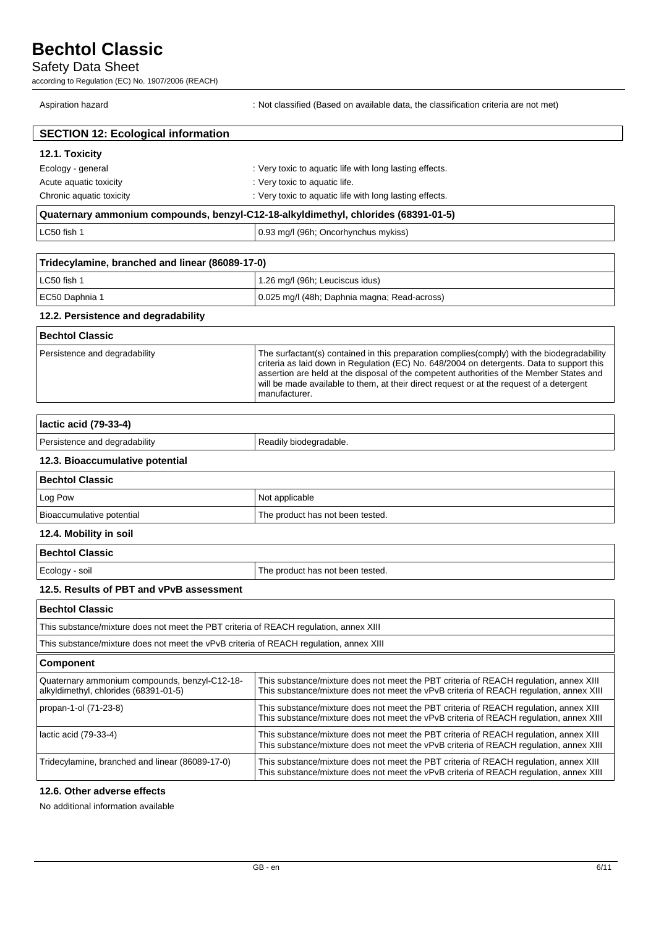# Safety Data Sheet

according to Regulation (EC) No. 1907/2006 (REACH)

Aspiration hazard **in a state of the classified (Based on available data, the classification criteria are not met)** 

| <b>SECTION 12: Ecological information</b>                                          |                                                         |
|------------------------------------------------------------------------------------|---------------------------------------------------------|
| 12.1. Toxicity                                                                     |                                                         |
| Ecology - general                                                                  | : Very toxic to aquatic life with long lasting effects. |
| Acute aquatic toxicity                                                             | : Very toxic to aquatic life.                           |
| Chronic aquatic toxicity                                                           | : Very toxic to aquatic life with long lasting effects. |
| Quaternary ammonium compounds, benzyl-C12-18-alkyldimethyl, chlorides (68391-01-5) |                                                         |
| LC50 fish 1                                                                        | 0.93 mg/l (96h; Oncorhynchus mykiss)                    |

| Tridecylamine, branched and linear (86089-17-0) |                                              |
|-------------------------------------------------|----------------------------------------------|
| LC50 fish 1                                     | 1.26 mg/l (96h; Leuciscus idus)              |
| EC50 Daphnia 1                                  | 0.025 mg/l (48h; Daphnia magna; Read-across) |

## **12.2. Persistence and degradability**

| l Bechtol Classic             |                                                                                                                                                                                                                                                                                                                                                                                                  |
|-------------------------------|--------------------------------------------------------------------------------------------------------------------------------------------------------------------------------------------------------------------------------------------------------------------------------------------------------------------------------------------------------------------------------------------------|
| Persistence and degradability | The surfactant(s) contained in this preparation complies(comply) with the biodegradability<br>criteria as laid down in Regulation (EC) No. 648/2004 on detergents. Data to support this<br>assertion are held at the disposal of the competent authorities of the Member States and<br>will be made available to them, at their direct request or at the request of a detergent<br>manufacturer. |

| lactic acid (79-33-4)         |                        |
|-------------------------------|------------------------|
| Persistence and degradability | Readily biodegradable. |

# **12.3. Bioaccumulative potential**

| <b>Bechtol Classic</b>    |                                  |
|---------------------------|----------------------------------|
| Log Pow                   | Not applicable                   |
| Bioaccumulative potential | The product has not been tested. |

### **12.4. Mobility in soil**

| <b>Bechtol Classic</b> |                                  |
|------------------------|----------------------------------|
| Ecology - soil         | The product has not been tested. |

### **12.5. Results of PBT and vPvB assessment**

| <b>Bechtol Classic</b>                                                                 |                                                                                                                                                                                 |  |
|----------------------------------------------------------------------------------------|---------------------------------------------------------------------------------------------------------------------------------------------------------------------------------|--|
| This substance/mixture does not meet the PBT criteria of REACH regulation, annex XIII  |                                                                                                                                                                                 |  |
| This substance/mixture does not meet the vPvB criteria of REACH regulation, annex XIII |                                                                                                                                                                                 |  |
| <b>Component</b>                                                                       |                                                                                                                                                                                 |  |
| Quaternary ammonium compounds, benzyl-C12-18-<br>alkyldimethyl, chlorides (68391-01-5) | This substance/mixture does not meet the PBT criteria of REACH regulation, annex XIII<br>This substance/mixture does not meet the vPvB criteria of REACH regulation, annex XIII |  |
| propan-1-ol (71-23-8)                                                                  | This substance/mixture does not meet the PBT criteria of REACH regulation, annex XIII<br>This substance/mixture does not meet the vPvB criteria of REACH regulation, annex XIII |  |
| lactic acid (79-33-4)                                                                  | This substance/mixture does not meet the PBT criteria of REACH regulation, annex XIII<br>This substance/mixture does not meet the vPvB criteria of REACH regulation, annex XIII |  |
| Tridecylamine, branched and linear (86089-17-0)                                        | This substance/mixture does not meet the PBT criteria of REACH regulation, annex XIII<br>This substance/mixture does not meet the vPvB criteria of REACH regulation, annex XIII |  |

# **12.6. Other adverse effects**

No additional information available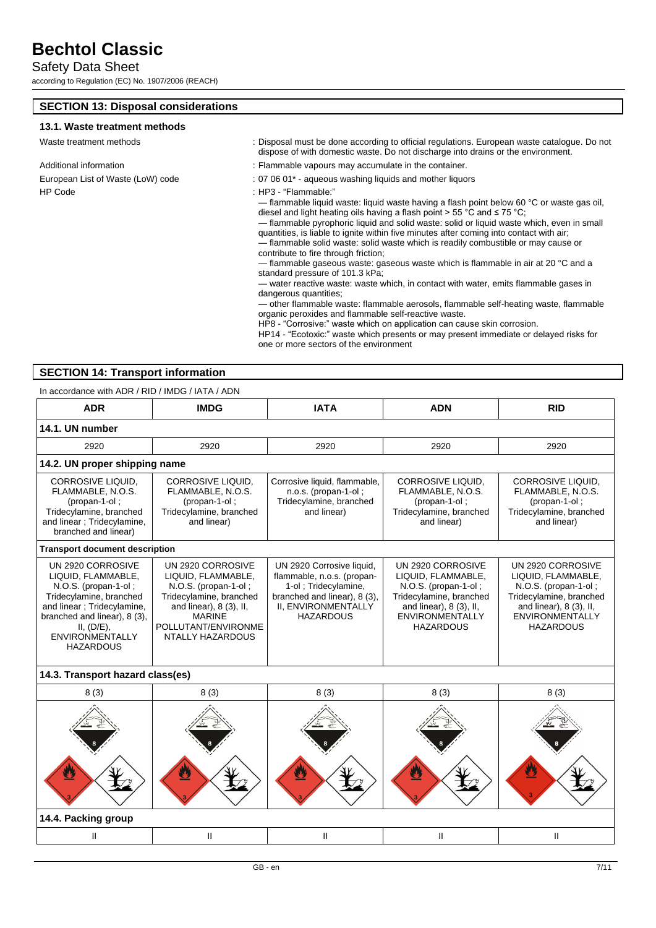## Safety Data Sheet

according to Regulation (EC) No. 1907/2006 (REACH)

### **SECTION 13: Disposal considerations**

#### **13.1. Waste treatment methods**

- Waste treatment methods : Disposal must be done according to official regulations. European waste catalogue. Do not dispose of with domestic waste. Do not discharge into drains or the environment.
- Additional information : Flammable vapours may accumulate in the container.
- European List of Waste (LoW) code : 07 06 01<sup>\*</sup> aqueous washing liquids and mother liquors
- HP Code : HP3 "Flammable:"

— flammable liquid waste: liquid waste having a flash point below 60 °C or waste gas oil, diesel and light heating oils having a flash point > 55 °C and ≤ 75 °C;

— flammable pyrophoric liquid and solid waste: solid or liquid waste which, even in small quantities, is liable to ignite within five minutes after coming into contact with air; flammable solid waste: solid waste which is readily combustible or may cause or contribute to fire through friction;

— flammable gaseous waste: gaseous waste which is flammable in air at 20 °C and a standard pressure of 101.3 kPa;

— water reactive waste: waste which, in contact with water, emits flammable gases in dangerous quantities;

— other flammable waste: flammable aerosols, flammable self-heating waste, flammable organic peroxides and flammable self-reactive waste.

HP8 - "Corrosive:" waste which on application can cause skin corrosion.

HP14 - "Ecotoxic:" waste which presents or may present immediate or delayed risks for one or more sectors of the environment

## **SECTION 14: Transport information**

In accordance with ADR / RID / IMDG / IATA / ADN **ADR IMDG IATA ADN RID 14.1. UN number** 2920 2920 2920 2920 2920 **14.2. UN proper shipping name** CORROSIVE LIQUID, FLAMMABLE, N.O.S. (propan-1-ol ; Tridecylamine, branched and linear ; Tridecylamine, branched and linear) CORROSIVE LIQUID, FLAMMABLE, N.O.S. (propan-1-ol ; Tridecylamine, branched and linear) Corrosive liquid, flammable, n.o.s. (propan-1-ol ; Tridecylamine, branched and linear) CORROSIVE LIQUID, FLAMMABLE, N.O.S. (propan-1-ol ; Tridecylamine, branched and linear) CORROSIVE LIQUID, FLAMMABLE, N.O.S. (propan-1-ol ; Tridecylamine, branched and linear) **Transport document description** UN 2920 CORROSIVE LIQUID, FLAMMABLE, N.O.S. (propan-1-ol ; Tridecylamine, branched and linear ; Tridecylamine, branched and linear), 8 (3), II, (D/E), **ENVIRONMENTALLY HAZARDOUS** UN 2920 CORROSIVE LIQUID, FLAMMABLE, N.O.S. (propan-1-ol ; Tridecylamine, branched and linear), 8 (3), II, **MARINE** POLLUTANT/ENVIRONME NTALLY HAZARDOUS UN 2920 Corrosive liquid, flammable, n.o.s. (propan-1-ol ; Tridecylamine, branched and linear), 8 (3), II, ENVIRONMENTALLY HAZARDOUS UN 2920 CORROSIVE LIQUID, FLAMMABLE, N.O.S. (propan-1-ol ; Tridecylamine, branched and linear), 8 (3), II, **ENVIRONMENTALLY HAZARDOUS** UN 2920 CORROSIVE LIQUID, FLAMMABLE, N.O.S. (propan-1-ol ; Tridecylamine, branched and linear), 8 (3), II, **ENVIRONMENTALLY HAZARDOUS 14.3. Transport hazard class(es)** 8 (3) 8 (3) 8 (3) 8 (3) 8 (3) 8 (3) 8 (3) **14.4. Packing group** II II II II II II II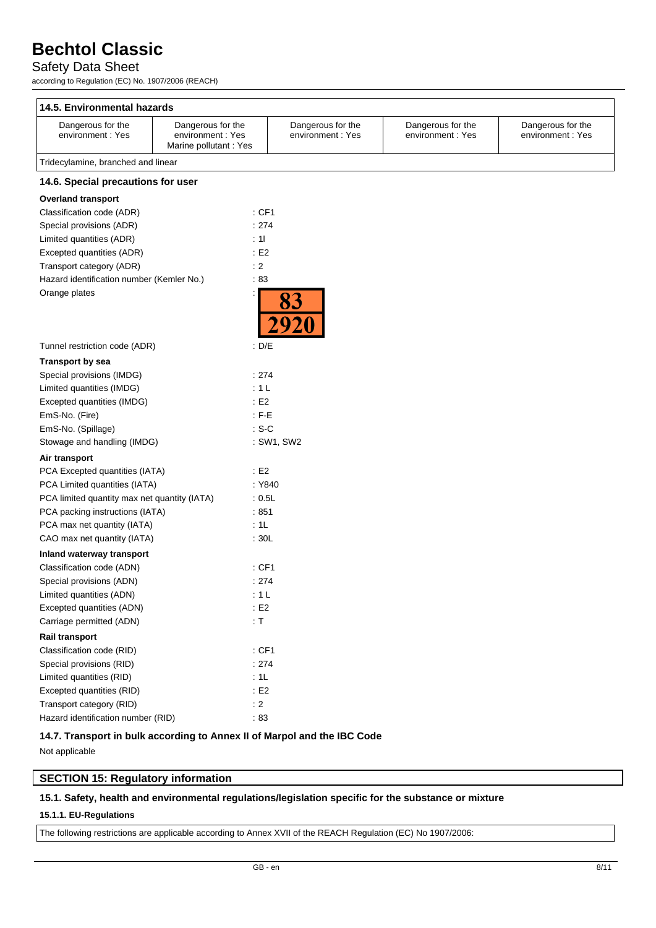# Safety Data Sheet

according to Regulation (EC) No. 1907/2006 (REACH)

| 14.5. Environmental hazards                           |                                                                |                                       |                                       |                                       |
|-------------------------------------------------------|----------------------------------------------------------------|---------------------------------------|---------------------------------------|---------------------------------------|
| Dangerous for the<br>environment: Yes                 | Dangerous for the<br>environment: Yes<br>Marine pollutant: Yes | Dangerous for the<br>environment: Yes | Dangerous for the<br>environment: Yes | Dangerous for the<br>environment: Yes |
| Tridecylamine, branched and linear                    |                                                                |                                       |                                       |                                       |
| 14.6. Special precautions for user                    |                                                                |                                       |                                       |                                       |
| <b>Overland transport</b>                             |                                                                |                                       |                                       |                                       |
| Classification code (ADR)                             | :CF1                                                           |                                       |                                       |                                       |
| Special provisions (ADR)                              | :274                                                           |                                       |                                       |                                       |
| Limited quantities (ADR)                              | : 11                                                           |                                       |                                       |                                       |
| Excepted quantities (ADR)                             | : E2                                                           |                                       |                                       |                                       |
| Transport category (ADR)                              | : 2                                                            |                                       |                                       |                                       |
| Hazard identification number (Kemler No.)             | :83                                                            |                                       |                                       |                                       |
| Orange plates                                         |                                                                | 83<br><b>2920</b>                     |                                       |                                       |
| Tunnel restriction code (ADR)                         | : D/E                                                          |                                       |                                       |                                       |
| <b>Transport by sea</b>                               |                                                                |                                       |                                       |                                       |
| Special provisions (IMDG)                             | : 274                                                          |                                       |                                       |                                       |
| Limited quantities (IMDG)                             | : 1 L                                                          |                                       |                                       |                                       |
| Excepted quantities (IMDG)                            | E2                                                             |                                       |                                       |                                       |
| EmS-No. (Fire)                                        | $:$ F-E                                                        |                                       |                                       |                                       |
| EmS-No. (Spillage)                                    | $: S-C$                                                        |                                       |                                       |                                       |
| Stowage and handling (IMDG)                           |                                                                | : SW1, SW2                            |                                       |                                       |
| Air transport                                         |                                                                |                                       |                                       |                                       |
| PCA Excepted quantities (IATA)                        | E2                                                             |                                       |                                       |                                       |
| PCA Limited quantities (IATA)                         | : Y840                                                         |                                       |                                       |                                       |
| PCA limited quantity max net quantity (IATA)          | : 0.5L                                                         |                                       |                                       |                                       |
| PCA packing instructions (IATA)                       | :851                                                           |                                       |                                       |                                       |
| PCA max net quantity (IATA)                           | :1L                                                            |                                       |                                       |                                       |
| CAO max net quantity (IATA)                           | : 30L                                                          |                                       |                                       |                                       |
| Inland waterway transport                             |                                                                |                                       |                                       |                                       |
| Classification code (ADN)                             | : CF1                                                          |                                       |                                       |                                       |
| Special provisions (ADN)                              | :274                                                           |                                       |                                       |                                       |
| Limited quantities (ADN)                              | : 1 L                                                          |                                       |                                       |                                       |
| Excepted quantities (ADN)                             | $\div$ E2                                                      |                                       |                                       |                                       |
| Carriage permitted (ADN)                              | : $\mathsf T$                                                  |                                       |                                       |                                       |
|                                                       |                                                                |                                       |                                       |                                       |
| Rail transport                                        | : CF1                                                          |                                       |                                       |                                       |
| Classification code (RID)<br>Special provisions (RID) |                                                                |                                       |                                       |                                       |
| Limited quantities (RID)                              | : 274<br>: 1L                                                  |                                       |                                       |                                       |
|                                                       |                                                                |                                       |                                       |                                       |
| Excepted quantities (RID)                             | E2                                                             |                                       |                                       |                                       |
| Transport category (RID)                              | : 2                                                            |                                       |                                       |                                       |

### **14.7. Transport in bulk according to Annex II of Marpol and the IBC Code**

Not applicable

# **SECTION 15: Regulatory information**

Hazard identification number (RID) : 83

## **15.1. Safety, health and environmental regulations/legislation specific for the substance or mixture**

### **15.1.1. EU-Regulations**

The following restrictions are applicable according to Annex XVII of the REACH Regulation (EC) No 1907/2006: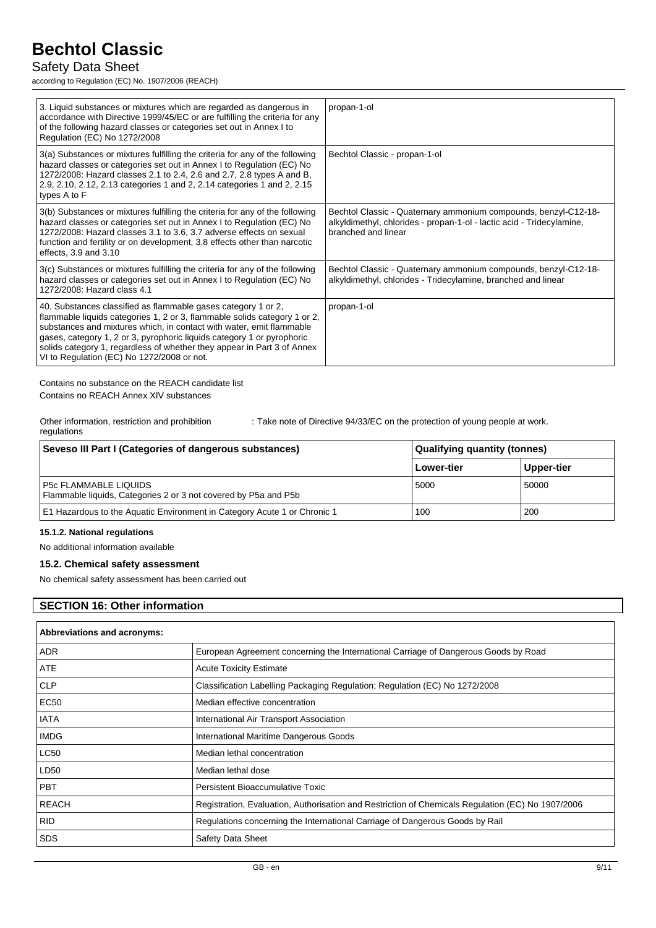# Safety Data Sheet

according to Regulation (EC) No. 1907/2006 (REACH)

| 3. Liquid substances or mixtures which are regarded as dangerous in<br>accordance with Directive 1999/45/EC or are fulfilling the criteria for any<br>of the following hazard classes or categories set out in Annex I to<br>Regulation (EC) No 1272/2008                                                                                                                                                             | propan-1-ol                                                                                                                                                     |
|-----------------------------------------------------------------------------------------------------------------------------------------------------------------------------------------------------------------------------------------------------------------------------------------------------------------------------------------------------------------------------------------------------------------------|-----------------------------------------------------------------------------------------------------------------------------------------------------------------|
| 3(a) Substances or mixtures fulfilling the criteria for any of the following<br>hazard classes or categories set out in Annex I to Regulation (EC) No<br>1272/2008: Hazard classes 2.1 to 2.4, 2.6 and 2.7, 2.8 types A and B,<br>2.9, 2.10, 2.12, 2.13 categories 1 and 2, 2.14 categories 1 and 2, 2.15<br>types A to F                                                                                             | Bechtol Classic - propan-1-ol                                                                                                                                   |
| 3(b) Substances or mixtures fulfilling the criteria for any of the following<br>hazard classes or categories set out in Annex I to Regulation (EC) No<br>1272/2008: Hazard classes 3.1 to 3.6, 3.7 adverse effects on sexual<br>function and fertility or on development, 3.8 effects other than narcotic<br>effects, 3.9 and 3.10                                                                                    | Bechtol Classic - Quaternary ammonium compounds, benzyl-C12-18-<br>alkyldimethyl, chlorides - propan-1-ol - lactic acid - Tridecylamine,<br>branched and linear |
| 3(c) Substances or mixtures fulfilling the criteria for any of the following<br>hazard classes or categories set out in Annex I to Regulation (EC) No<br>1272/2008: Hazard class 4.1                                                                                                                                                                                                                                  | Bechtol Classic - Quaternary ammonium compounds, benzyl-C12-18-<br>alkyldimethyl, chlorides - Tridecylamine, branched and linear                                |
| 40. Substances classified as flammable gases category 1 or 2,<br>flammable liquids categories 1, 2 or 3, flammable solids category 1 or 2,<br>substances and mixtures which, in contact with water, emit flammable<br>gases, category 1, 2 or 3, pyrophoric liquids category 1 or pyrophoric<br>solids category 1, regardless of whether they appear in Part 3 of Annex<br>VI to Regulation (EC) No 1272/2008 or not. | propan-1-ol                                                                                                                                                     |

Contains no substance on the REACH candidate list Contains no REACH Annex XIV substances

Other information, restriction and prohibition regulations

: Take note of Directive 94/33/EC on the protection of young people at work.

| Seveso III Part I (Categories of dangerous substances)                                          | Qualifying quantity (tonnes) |            |
|-------------------------------------------------------------------------------------------------|------------------------------|------------|
|                                                                                                 | <b>Lower-tier</b>            | Upper-tier |
| <b>P5c FLAMMABLE LIQUIDS</b><br>Flammable liquids, Categories 2 or 3 not covered by P5a and P5b | 5000                         | 50000      |
| E1 Hazardous to the Aquatic Environment in Category Acute 1 or Chronic 1                        | 100                          | 200        |

#### **15.1.2. National regulations**

No additional information available

#### **15.2. Chemical safety assessment**

No chemical safety assessment has been carried out

## **SECTION 16: Other information**

| Abbreviations and acronyms: |                                                                                                   |  |  |
|-----------------------------|---------------------------------------------------------------------------------------------------|--|--|
| <b>ADR</b>                  | European Agreement concerning the International Carriage of Dangerous Goods by Road               |  |  |
| <b>ATE</b>                  | <b>Acute Toxicity Estimate</b>                                                                    |  |  |
| <b>CLP</b>                  | Classification Labelling Packaging Regulation; Regulation (EC) No 1272/2008                       |  |  |
| <b>EC50</b>                 | Median effective concentration                                                                    |  |  |
| IATA                        | International Air Transport Association                                                           |  |  |
| <b>IMDG</b>                 | International Maritime Dangerous Goods                                                            |  |  |
| <b>LC50</b>                 | Median lethal concentration                                                                       |  |  |
| LD50                        | Median lethal dose                                                                                |  |  |
| <b>PBT</b>                  | <b>Persistent Bioaccumulative Toxic</b>                                                           |  |  |
| <b>REACH</b>                | Registration, Evaluation, Authorisation and Restriction of Chemicals Regulation (EC) No 1907/2006 |  |  |
| <b>RID</b>                  | Regulations concerning the International Carriage of Dangerous Goods by Rail                      |  |  |
| <b>SDS</b>                  | <b>Safety Data Sheet</b>                                                                          |  |  |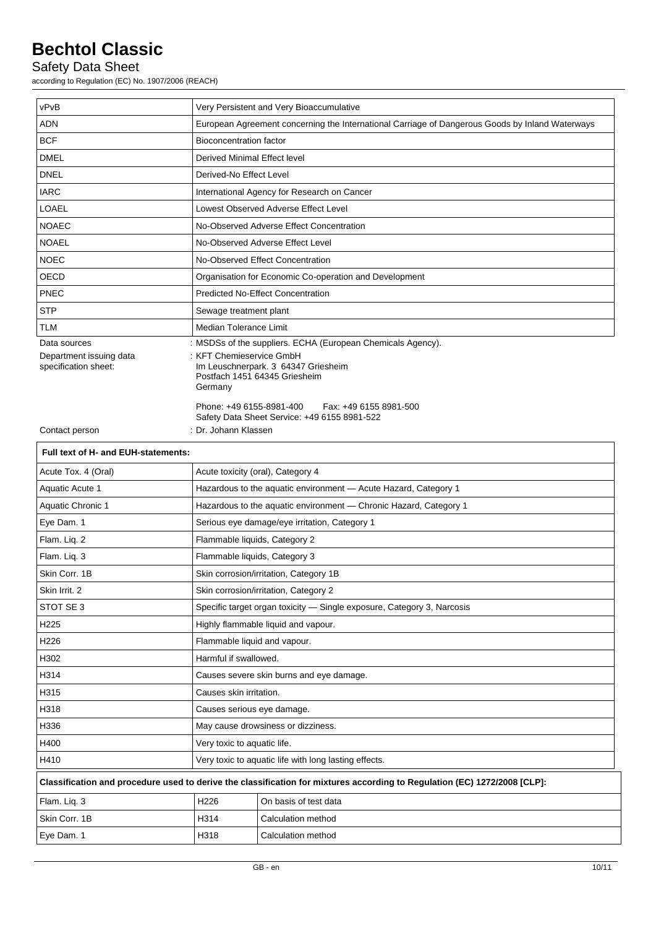# Safety Data Sheet

according to Regulation (EC) No. 1907/2006 (REACH)

| vPvB                                            | Very Persistent and Very Bioaccumulative                                                        |                                                                                                                           |  |  |
|-------------------------------------------------|-------------------------------------------------------------------------------------------------|---------------------------------------------------------------------------------------------------------------------------|--|--|
| <b>ADN</b>                                      | European Agreement concerning the International Carriage of Dangerous Goods by Inland Waterways |                                                                                                                           |  |  |
| <b>BCF</b>                                      | <b>Bioconcentration factor</b>                                                                  |                                                                                                                           |  |  |
| <b>DMEL</b>                                     | Derived Minimal Effect level                                                                    |                                                                                                                           |  |  |
| <b>DNEL</b>                                     | Derived-No Effect Level                                                                         |                                                                                                                           |  |  |
| <b>IARC</b>                                     | International Agency for Research on Cancer                                                     |                                                                                                                           |  |  |
| LOAEL                                           | Lowest Observed Adverse Effect Level                                                            |                                                                                                                           |  |  |
| <b>NOAEC</b>                                    | No-Observed Adverse Effect Concentration                                                        |                                                                                                                           |  |  |
| <b>NOAEL</b>                                    |                                                                                                 | No-Observed Adverse Effect Level                                                                                          |  |  |
| <b>NOEC</b>                                     |                                                                                                 | No-Observed Effect Concentration                                                                                          |  |  |
| OECD                                            |                                                                                                 | Organisation for Economic Co-operation and Development                                                                    |  |  |
| <b>PNEC</b>                                     |                                                                                                 | <b>Predicted No-Effect Concentration</b>                                                                                  |  |  |
| <b>STP</b>                                      | Sewage treatment plant                                                                          |                                                                                                                           |  |  |
| <b>TLM</b>                                      | Median Tolerance Limit                                                                          |                                                                                                                           |  |  |
| Data sources                                    |                                                                                                 | : MSDSs of the suppliers. ECHA (European Chemicals Agency).                                                               |  |  |
| Department issuing data<br>specification sheet: | : KFT Chemieservice GmbH                                                                        | Im Leuschnerpark. 3 64347 Griesheim                                                                                       |  |  |
|                                                 |                                                                                                 | Postfach 1451 64345 Griesheim                                                                                             |  |  |
|                                                 | Germany                                                                                         |                                                                                                                           |  |  |
|                                                 | Phone: +49 6155-8981-400                                                                        | Fax: +49 6155 8981-500                                                                                                    |  |  |
| Contact person                                  |                                                                                                 | Safety Data Sheet Service: +49 6155 8981-522<br>: Dr. Johann Klassen                                                      |  |  |
| Full text of H- and EUH-statements:             |                                                                                                 |                                                                                                                           |  |  |
|                                                 |                                                                                                 |                                                                                                                           |  |  |
| Acute Tox. 4 (Oral)                             |                                                                                                 | Acute toxicity (oral), Category 4                                                                                         |  |  |
| Aquatic Acute 1                                 |                                                                                                 | Hazardous to the aquatic environment - Acute Hazard, Category 1                                                           |  |  |
| Aquatic Chronic 1                               |                                                                                                 | Hazardous to the aquatic environment - Chronic Hazard, Category 1                                                         |  |  |
| Eye Dam. 1<br>Flam. Liq. 2                      | Serious eye damage/eye irritation, Category 1                                                   |                                                                                                                           |  |  |
| Flam. Liq. 3                                    |                                                                                                 | Flammable liquids, Category 2                                                                                             |  |  |
| Skin Corr, 1B                                   |                                                                                                 | Flammable liquids, Category 3                                                                                             |  |  |
|                                                 |                                                                                                 | Skin corrosion/irritation, Category 1B                                                                                    |  |  |
| Skin Irrit. 2                                   | Skin corrosion/irritation, Category 2                                                           |                                                                                                                           |  |  |
| STOT SE 3                                       | Specific target organ toxicity - Single exposure, Category 3, Narcosis                          |                                                                                                                           |  |  |
| H <sub>225</sub>                                | Highly flammable liquid and vapour.                                                             |                                                                                                                           |  |  |
| H226                                            | Flammable liquid and vapour.                                                                    |                                                                                                                           |  |  |
| H302                                            | Harmful if swallowed.                                                                           |                                                                                                                           |  |  |
| H314                                            | Causes severe skin burns and eye damage.                                                        |                                                                                                                           |  |  |
| H315                                            | Causes skin irritation.                                                                         |                                                                                                                           |  |  |
| H318                                            | Causes serious eye damage.                                                                      |                                                                                                                           |  |  |
| H336                                            | May cause drowsiness or dizziness.                                                              |                                                                                                                           |  |  |
| H400                                            | Very toxic to aquatic life.                                                                     |                                                                                                                           |  |  |
| H410                                            | Very toxic to aquatic life with long lasting effects.                                           |                                                                                                                           |  |  |
|                                                 |                                                                                                 | Classification and procedure used to derive the classification for mixtures according to Regulation (EC) 1272/2008 [CLP]: |  |  |
| Flam. Liq. 3                                    | H226                                                                                            | On basis of test data                                                                                                     |  |  |
| Skin Corr. 1B                                   | H314                                                                                            | Calculation method                                                                                                        |  |  |
| Eye Dam. 1                                      | H318                                                                                            | Calculation method                                                                                                        |  |  |